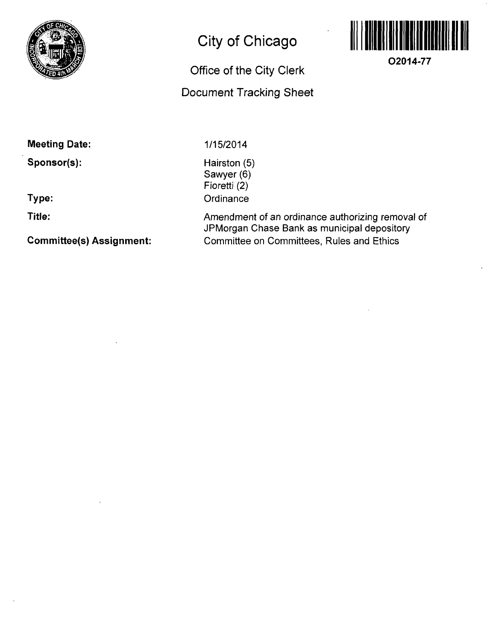

# **City of Chicago**

## **Office of the City Clerk**

### **Document Tracking Sheet**



**02014-77** 

**Meeting Date:** 

**Sponsor(s):** 

**Type:** 

**Title:** 

**Committee(s) Assignment:** 

1/15/2014

Hairston (5) Sawyer (6) Fioretti (2) **Ordinance** 

Amendment of an ordinance authorizing removal of JPMorgan Chase Bank as municipal depository Committee on Committees, Rules and Ethics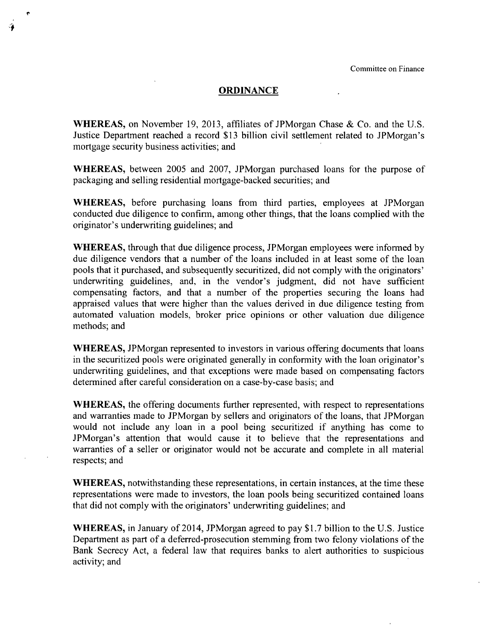#### **ORDINANCE**

WHEREAS, on November 19, 2013, affiliates of JPMorgan Chase & Co. and the U.S. Justice Department reached a record \$13 billion civil settlement related to JPMorgan's mortgage security business activities; and

WHEREAS, between 2005 and 2007, JPMorgan purchased loans for the purpose of packaging and selling residential mortgage-backed securities; and

WHEREAS, before purchasing loans from third parties, employees at JPMorgan conducted due diligence to confinn, among other things, that the loans complied with the originator's underwriting guidelines; and

WHEREAS, through that due diligence process, JPMorgan employees were informed by due diligence vendors that a number of the loans included in at least some of the loan pools that it purchased, and subsequently securitized, did not comply with the originators' underwriting guidelines, and, in the vendor's judgment, did not have sufficient compensating factors, and that a number of the properties securing the loans had appraised values that were higher than the values derived in due diligence testing from automated valuation models, broker price opinions or other valuation due diligence methods; and

WHEREAS, JPMorgan represented to investors in various offering documents that loans in the securitized pools were originated generally in confonnity with the loan originator's underwriting guidelines, and that exceptions were made based on compensating factors determined after careful consideration on a case-by-case basis; and

WHEREAS, the offering documents further represented, with respect to representations and warranties made to JPMorgan by sellers and originators of the loans, that JPMorgan would not include any loan in a pool being securitized if anything has come to JPMorgan's attention that would cause it to believe that the representations and warranties of a seller or originator would not be accurate and complete in all material respects; and

WHEREAS, notwithstanding these representations, in certain instances, at the time these representations were made to investors, the loan pools being securitized contained loans that did not comply with the originators' underwriting guidelines; and

WHEREAS, in January of 2014, JPMorgan agreed to pay \$1.7 billion to the U.S. Justice Department as part of a defened-prosecution stemming from two felony violations of the Bank Secrecy Act, a federal law that requires banks to alert authorities to suspicious activity; and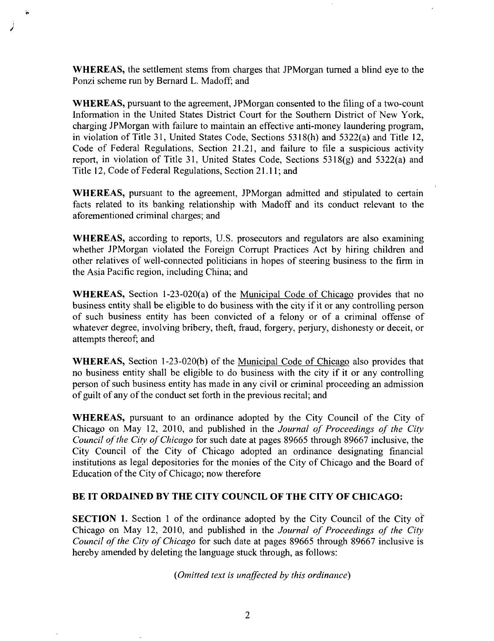WHEREAS, the settlement stems from charges that JPMorgan turned a blind eye to the Ponzi scheme run by Bernard L. Madoff; and

WHEREAS, pursuant to the agreement, JPMorgan consented to the filing of a two-count Information in the United States District Court for the Southern District of New York, charging JPMorgan with failure to maintain an effective anti-money laundering program, in violation of Titie 31, United States Code, Sections 5318(h) and 5322(a) and Titie 12, Code of Federal Regulations, Section 21.21, and failure to file a suspicious acfivity report, in violation of Title 31, United States Code, Sections  $5318(g)$  and  $5322(a)$  and Titie 12, Code of Federal Regulations, Section 21.11; and

WHEREAS, pursuant to the agreement, JPMorgan admitted and stipulated to certain facts related to its banking relationship with Madoff and its conduct relevant to the aforementioned criminal charges; and

WHEREAS, according to reports, U.S. prosecutors and regulators are also examining whether JPMorgan violated the Foreign Corrupt Practices Act by hiring children and other relatives of well-connected politicians in hopes of steering business to the firm in the Asia Pacific region, including China; and

**WHEREAS,** Section 1-23-020(a) of the Municipal Code of Chicago provides that no business entity shall be eligible to do business with the city if it or any controlling person of such business entity has been convicted of a felony or of a criminal offense of whatever degree, involving bribery, theft, fraud, forgery, perjury, dishonesty or deceit, or attempts thereof; and

WHEREAS, Section 1-23-020(b) of the Municipal Code of Chicago also provides that no business entity shall be eligible to do business with the city if it or any controlling person of such business entity has made in any civil or criminal proceeding an admission of guilt of any of the conduct set forth in the previous recital; and

WHEREAS, pursuant to an ordinance adopted by the City Council of the City of Chicago on May 12, 2010, and published in the Journal of Proceedings of the City Council of the City of Chicago for such date at pages 89665 through 89667 inclusive, the City Council of the City of Chicago adopted an ordinance designating financial institutions as legal depositories for the monies of the City of Chicago and the Board of Education of the City of Chicago; now therefore

### **BE IT ORDAINED BY THE CITY COUNCIL OF THE CITY OF CHICAGO:**

SECTION 1. Section I of the ordinance adopted by the City Council of the City oif Chicago on May 12, 2010, and published in the Journal of Proceedings of the City Council of the City of Chicago for such date at pages 89665 through 89667 inclusive is hereby amended by deleting the language stuck through, as follows:

*{Omitted text is unaffected by this ordinance)*